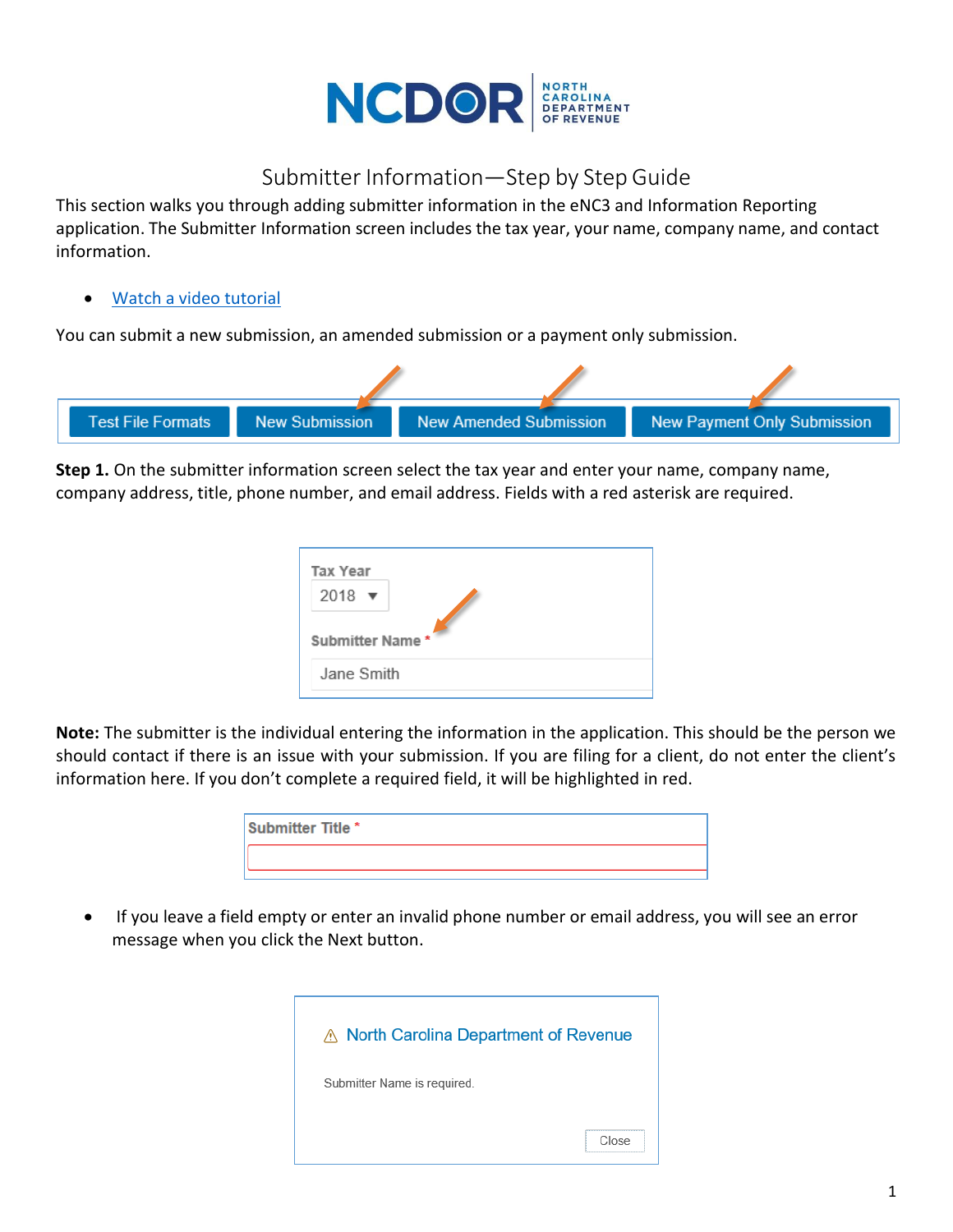

## Submitter Information—Step by Step Guide

This section walks you through adding submitter information in the eNC3 and Information Reporting application. The Submitter Information screen includes the tax year, your name, company name, and contact information.

## Watch a [video tutorial](https://www.youtube.com/playlist?list=PLVTNpEbK_lRwxJnK7v2gama4TuGN43YW9)

You can submit a new submission, an amended submission or a payment only submission.



**Step 1.** On the submitter information screen select the tax year and enter your name, company name, company address, title, phone number, and email address. Fields with a red asterisk are required.

| Tax Year<br>$2018$ $\blacktriangledown$<br>Submitter Name* |  |
|------------------------------------------------------------|--|
| Jane Smith                                                 |  |

**Note:** The submitter is the individual entering the information in the application. This should be the person we should contact if there is an issue with your submission. If you are filing for a client, do not enter the client's information here. If you don't complete a required field, it will be highlighted in red.

| Submitter Title * |  |
|-------------------|--|
|                   |  |

 If you leave a field empty or enter an invalid phone number or email address, you will see an error message when you click the Next button.